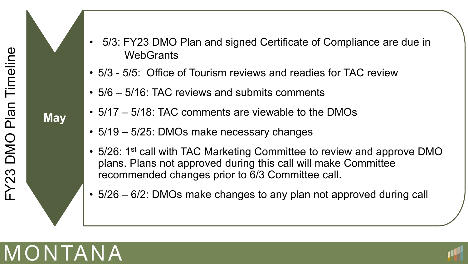

- 5/3 5/5: Office of Tourism reviews and readies for TAC review
- 5/6 5/16: TAC reviews and submits comments
- 5/17 5/18: TAC comments are viewable to the DMOs
- 5/19 5/25: DMOs make necessary changes
- 5/26: 1<sup>st</sup> call with TAC Marketing Committee to review and approve DMO plans. Plans not approved during this call will make Committee recommended changes prior to 6/3 Committee call.
- 5/26 6/2: DMOs make changes to any plan not approved during call



**May**